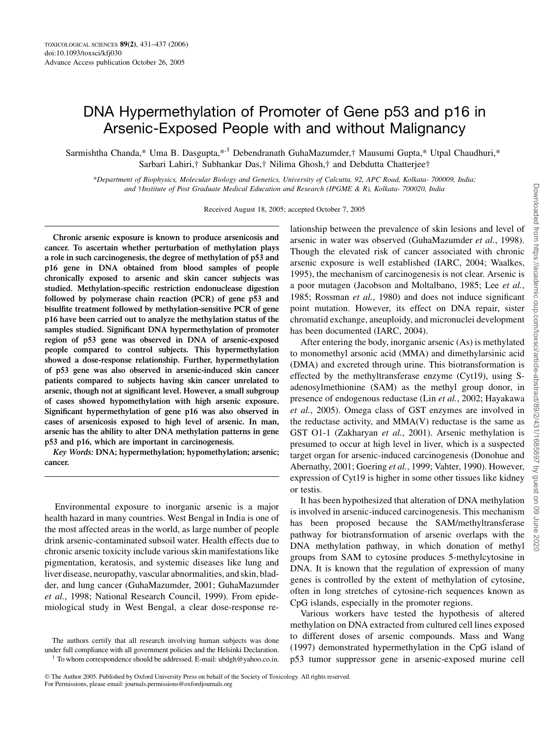# DNA Hypermethylation of Promoter of Gene p53 and p16 in Arsenic-Exposed People with and without Malignancy

Sarmishtha Chanda,\* Uma B. Dasgupta,\*,1 Debendranath GuhaMazumder,† Mausumi Gupta,\* Utpal Chaudhuri,\* Sarbari Lahiri,† Subhankar Das,† Nilima Ghosh,† and Debdutta Chatterjee†

\*Department of Biophysics, Molecular Biology and Genetics, University of Calcutta, 92, APC Road, Kolkata- 700009, India; and †Institute of Post Graduate Medical Education and Research (IPGME & R), Kolkata- 700020, India

Received August 18, 2005; accepted October 7, 2005

Chronic arsenic exposure is known to produce arsenicosis and cancer. To ascertain whether perturbation of methylation plays a role in such carcinogenesis, the degree of methylation of p53 and p16 gene in DNA obtained from blood samples of people chronically exposed to arsenic and skin cancer subjects was studied. Methylation-specific restriction endonuclease digestion followed by polymerase chain reaction (PCR) of gene p53 and bisulfite treatment followed by methylation-sensitive PCR of gene p16 have been carried out to analyze the methylation status of the samples studied. Significant DNA hypermethylation of promoter region of p53 gene was observed in DNA of arsenic-exposed people compared to control subjects. This hypermethylation showed a dose-response relationship. Further, hypermethylation of p53 gene was also observed in arsenic-induced skin cancer patients compared to subjects having skin cancer unrelated to arsenic, though not at significant level. However, a small subgroup of cases showed hypomethylation with high arsenic exposure. Significant hypermethylation of gene p16 was also observed in cases of arsenicosis exposed to high level of arsenic. In man, arsenic has the ability to alter DNA methylation patterns in gene p53 and p16, which are important in carcinogenesis.

Key Words: DNA; hypermethylation; hypomethylation; arsenic; cancer.

Environmental exposure to inorganic arsenic is a major health hazard in many countries. West Bengal in India is one of the most affected areas in the world, as large number of people drink arsenic-contaminated subsoil water. Health effects due to chronic arsenic toxicity include various skin manifestations like pigmentation, keratosis, and systemic diseases like lung and liver disease, neuropathy, vascular abnormalities, and skin, bladder, and lung cancer (GuhaMazumder, 2001; GuhaMazumder et al., 1998; National Research Council, 1999). From epidemiological study in West Bengal, a clear dose-response relationship between the prevalence of skin lesions and level of arsenic in water was observed (GuhaMazumder et al., 1998). Though the elevated risk of cancer associated with chronic arsenic exposure is well established (IARC, 2004; Waalkes, 1995), the mechanism of carcinogenesis is not clear. Arsenic is a poor mutagen (Jacobson and Moltalbano, 1985; Lee et al., 1985; Rossman et al., 1980) and does not induce significant point mutation. However, its effect on DNA repair, sister chromatid exchange, aneuploidy, and micronuclei development has been documented (IARC, 2004).

After entering the body, inorganic arsenic (As) is methylated to monomethyl arsonic acid (MMA) and dimethylarsinic acid (DMA) and excreted through urine. This biotransformation is effected by the methyltransferase enzyme (Cyt19), using Sadenosylmethionine (SAM) as the methyl group donor, in presence of endogenous reductase (Lin et al., 2002; Hayakawa et al., 2005). Omega class of GST enzymes are involved in the reductase activity, and MMA(V) reductase is the same as GST O1-1 (Zakharyan et al., 2001). Arsenic methylation is presumed to occur at high level in liver, which is a suspected target organ for arsenic-induced carcinogenesis (Donohue and Abernathy, 2001; Goering et al., 1999; Vahter, 1990). However, expression of Cyt19 is higher in some other tissues like kidney or testis.

It has been hypothesized that alteration of DNA methylation is involved in arsenic-induced carcinogenesis. This mechanism has been proposed because the SAM/methyltransferase pathway for biotransformation of arsenic overlaps with the DNA methylation pathway, in which donation of methyl groups from SAM to cytosine produces 5-methylcytosine in DNA. It is known that the regulation of expression of many genes is controlled by the extent of methylation of cytosine, often in long stretches of cytosine-rich sequences known as CpG islands, especially in the promoter regions.

Various workers have tested the hypothesis of altered methylation on DNA extracted from cultured cell lines exposed to different doses of arsenic compounds. Mass and Wang (1997) demonstrated hypermethylation in the CpG island of p53 tumor suppressor gene in arsenic-exposed murine cell

The authors certify that all research involving human subjects was done under full compliance with all government policies and the Helsinki Declaration. <sup>1</sup> To whom correspondence should be addressed. E-mail: ubdgh@yahoo.co.in.

The Author 2005. Published by Oxford University Press on behalf of the Society of Toxicology. All rights reserved. For Permissions, please email: journals.permissions@oxfordjournals.org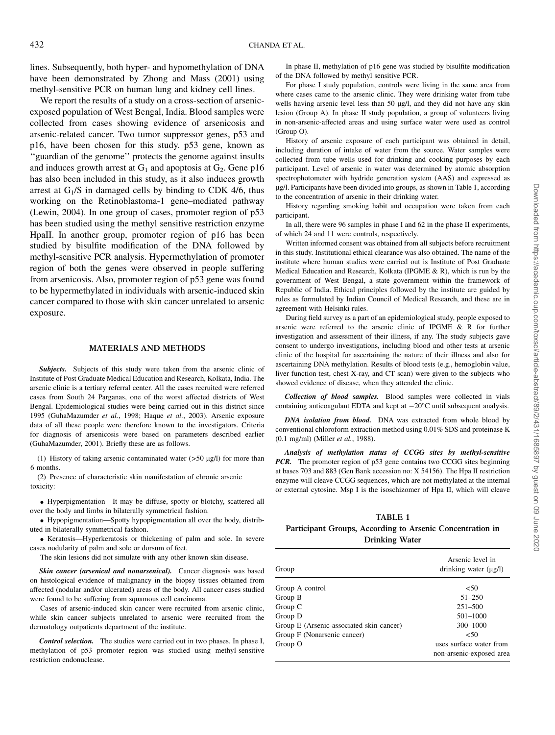lines. Subsequently, both hyper- and hypomethylation of DNA have been demonstrated by Zhong and Mass (2001) using methyl-sensitive PCR on human lung and kidney cell lines.

We report the results of a study on a cross-section of arsenicexposed population of West Bengal, India. Blood samples were collected from cases showing evidence of arsenicosis and arsenic-related cancer. Two tumor suppressor genes, p53 and p16, have been chosen for this study. p53 gene, known as "guardian of the genome" protects the genome against insults and induces growth arrest at  $G_1$  and apoptosis at  $G_2$ . Gene p16 has also been included in this study, as it also induces growth arrest at  $G_1/S$  in damaged cells by binding to CDK 4/6, thus working on the Retinoblastoma-1 gene–mediated pathway (Lewin, 2004). In one group of cases, promoter region of p53 has been studied using the methyl sensitive restriction enzyme HpaII. In another group, promoter region of p16 has been studied by bisulfite modification of the DNA followed by methyl-sensitive PCR analysis. Hypermethylation of promoter region of both the genes were observed in people suffering from arsenicosis. Also, promoter region of p53 gene was found to be hypermethylated in individuals with arsenic-induced skin cancer compared to those with skin cancer unrelated to arsenic exposure.

## MATERIALS AND METHODS

Subjects. Subjects of this study were taken from the arsenic clinic of Institute of Post Graduate Medical Education and Research, Kolkata, India. The arsenic clinic is a tertiary referral center. All the cases recruited were referred cases from South 24 Parganas, one of the worst affected districts of West Bengal. Epidemiological studies were being carried out in this district since 1995 (GuhaMazumder et al., 1998; Haque et al., 2003). Arsenic exposure data of all these people were therefore known to the investigators. Criteria for diagnosis of arsenicosis were based on parameters described earlier (GuhaMazumder, 2001). Briefly these are as follows.

(1) History of taking arsenic contaminated water  $(>50 \text{ µg/l})$  for more than 6 months.

(2) Presence of characteristic skin manifestation of chronic arsenic toxicity:

<sup>d</sup> Hyperpigmentation—It may be diffuse, spotty or blotchy, scattered all over the body and limbs in bilaterally symmetrical fashion.

<sup>d</sup> Hypopigmentation—Spotty hypopigmentation all over the body, distributed in bilaterally symmetrical fashion.

<sup>d</sup> Keratosis—Hyperkeratosis or thickening of palm and sole. In severe cases nodularity of palm and sole or dorsum of feet.

The skin lesions did not simulate with any other known skin disease.

Skin cancer (arsenical and nonarsenical). Cancer diagnosis was based on histological evidence of malignancy in the biopsy tissues obtained from affected (nodular and/or ulcerated) areas of the body. All cancer cases studied were found to be suffering from squamous cell carcinoma.

Cases of arsenic-induced skin cancer were recruited from arsenic clinic, while skin cancer subjects unrelated to arsenic were recruited from the dermatology outpatients department of the institute.

Control selection. The studies were carried out in two phases. In phase I, methylation of p53 promoter region was studied using methyl-sensitive restriction endonuclease.

In phase II, methylation of p16 gene was studied by bisulfite modification of the DNA followed by methyl sensitive PCR.

For phase I study population, controls were living in the same area from where cases came to the arsenic clinic. They were drinking water from tube wells having arsenic level less than 50 µg/l, and they did not have any skin lesion (Group A). In phase II study population, a group of volunteers living in non-arsenic-affected areas and using surface water were used as control (Group O).

History of arsenic exposure of each participant was obtained in detail, including duration of intake of water from the source. Water samples were collected from tube wells used for drinking and cooking purposes by each participant. Level of arsenic in water was determined by atomic absorption spectrophotometer with hydride generation system (AAS) and expressed as lg/l. Participants have been divided into groups, as shown in Table 1, according to the concentration of arsenic in their drinking water.

History regarding smoking habit and occupation were taken from each participant.

In all, there were 96 samples in phase I and 62 in the phase II experiments, of which 24 and 11 were controls, respectively.

Written informed consent was obtained from all subjects before recruitment in this study. Institutional ethical clearance was also obtained. The name of the institute where human studies were carried out is Institute of Post Graduate Medical Education and Research, Kolkata (IPGME & R), which is run by the government of West Bengal, a state government within the framework of Republic of India. Ethical principles followed by the institute are guided by rules as formulated by Indian Council of Medical Research, and these are in agreement with Helsinki rules.

During field survey as a part of an epidemiological study, people exposed to arsenic were referred to the arsenic clinic of IPGME & R for further investigation and assessment of their illness, if any. The study subjects gave consent to undergo investigations, including blood and other tests at arsenic clinic of the hospital for ascertaining the nature of their illness and also for ascertaining DNA methylation. Results of blood tests (e.g., hemoglobin value, liver function test, chest X-ray, and CT scan) were given to the subjects who showed evidence of disease, when they attended the clinic.

Collection of blood samples. Blood samples were collected in vials containing anticoagulant EDTA and kept at  $-20^{\circ}$ C until subsequent analysis.

DNA isolation from blood. DNA was extracted from whole blood by conventional chloroform extraction method using 0.01% SDS and proteinase K (0.1 mg/ml) (Miller et al., 1988).

Analysis of methylation status of CCGG sites by methyl-sensitive PCR. The promoter region of p53 gene contains two CCGG sites beginning at bases 703 and 883 (Gen Bank accession no: X 54156). The Hpa II restriction enzyme will cleave CCGG sequences, which are not methylated at the internal or external cytosine. Msp I is the isoschizomer of Hpa II, which will cleave

#### TABLE 1

## Participant Groups, According to Arsenic Concentration in Drinking Water

| Group                                    | Arsenic level in<br>drinking water $(\mu g/l)$      |
|------------------------------------------|-----------------------------------------------------|
| Group A control                          | <50                                                 |
| Group B                                  | $51 - 250$                                          |
| Group C                                  | $251 - 500$                                         |
| Group D                                  | 501-1000                                            |
| Group E (Arsenic-associated skin cancer) | 300-1000                                            |
| Group F (Nonarsenic cancer)              | < 50                                                |
| Group O                                  | uses surface water from<br>non-arsenic-exposed area |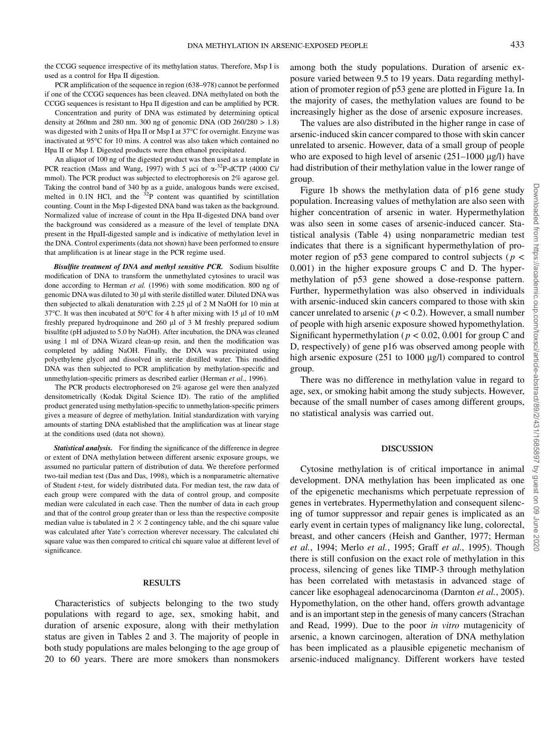the CCGG sequence irrespective of its methylation status. Therefore, Msp I is used as a control for Hpa II digestion.

PCR amplification of the sequence in region (638–978) cannot be performed if one of the CCGG sequences has been cleaved. DNA methylated on both the CCGG sequences is resistant to Hpa II digestion and can be amplified by PCR.

Concentration and purity of DNA was estimated by determining optical density at 260nm and 280 nm. 300 ng of genomic DNA (OD 260/280  $> 1.8$ ) was digested with 2 units of Hpa II or Msp I at 37°C for overnight. Enzyme was inactivated at 95°C for 10 mins. A control was also taken which contained no Hpa II or Msp I. Digested products were then ethanol precipitated.

An aliquot of 100 ng of the digested product was then used as a template in PCR reaction (Mass and Wang, 1997) with 5 µci of  $\alpha$ -<sup>32</sup>P-dCTP (4000 Ci/ mmol). The PCR product was subjected to electrophoresis on 2% agarose gel. Taking the control band of 340 bp as a guide, analogous bands were excised, melted in  $0.1N$  HCl, and the  $32P$  content was quantified by scintillation counting. Count in the Msp I-digested DNA band was taken as the background. Normalized value of increase of count in the Hpa II-digested DNA band over the background was considered as a measure of the level of template DNA present in the HpaII-digested sample and is indicative of methylation level in the DNA. Control experiments (data not shown) have been performed to ensure that amplification is at linear stage in the PCR regime used.

Bisulfite treatment of DNA and methyl sensitive PCR. Sodium bisulfite modification of DNA to transform the unmethylated cytosines to uracil was done according to Herman et al. (1996) with some modification. 800 ng of genomic DNA was diluted to 30 µl with sterile distilled water. Diluted DNA was then subjected to alkali denaturation with 2.25  $\mu$ l of 2 M NaOH for 10 min at 37 $\degree$ C. It was then incubated at 50 $\degree$ C for 4 h after mixing with 15  $\mu$ l of 10 mM freshly prepared hydroquinone and  $260 \mu l$  of 3 M freshly prepared sodium bisulfite (pH adjusted to 5.0 by NaOH). After incubation, the DNA was cleaned using 1 ml of DNA Wizard clean-up resin, and then the modification was completed by adding NaOH. Finally, the DNA was precipitated using polyethylene glycol and dissolved in sterile distilled water. This modified DNA was then subjected to PCR amplification by methylation-specific and unmethylation-specific primers as described earlier (Herman et al., 1996).

The PCR products electrophoresed on 2% agarose gel were then analyzed densitometrically (Kodak Digital Science ID). The ratio of the amplified product generated using methylation-specific to unmethylation-specific primers gives a measure of degree of methylation. Initial standardization with varying amounts of starting DNA established that the amplification was at linear stage at the conditions used (data not shown).

Statistical analysis. For finding the significance of the difference in degree or extent of DNA methylation between different arsenic exposure groups, we assumed no particular pattern of distribution of data. We therefore performed two-tail median test (Das and Das, 1998), which is a nonparametric alternative of Student t-test, for widely distributed data. For median test, the raw data of each group were compared with the data of control group, and composite median were calculated in each case. Then the number of data in each group and that of the control group greater than or less than the respective composite median value is tabulated in  $2 \times 2$  contingency table, and the chi square value was calculated after Yate's correction wherever necessary. The calculated chi square value was then compared to critical chi square value at different level of significance.

## RESULTS

Characteristics of subjects belonging to the two study populations with regard to age, sex, smoking habit, and duration of arsenic exposure, along with their methylation status are given in Tables 2 and 3. The majority of people in both study populations are males belonging to the age group of 20 to 60 years. There are more smokers than nonsmokers among both the study populations. Duration of arsenic exposure varied between 9.5 to 19 years. Data regarding methylation of promoter region of p53 gene are plotted in Figure 1a. In the majority of cases, the methylation values are found to be increasingly higher as the dose of arsenic exposure increases.

The values are also distributed in the higher range in case of arsenic-induced skin cancer compared to those with skin cancer unrelated to arsenic. However, data of a small group of people who are exposed to high level of arsenic  $(251-1000 \mu g/l)$  have had distribution of their methylation value in the lower range of group.

Figure 1b shows the methylation data of p16 gene study population. Increasing values of methylation are also seen with higher concentration of arsenic in water. Hypermethylation was also seen in some cases of arsenic-induced cancer. Statistical analysis (Table 4) using nonparametric median test indicates that there is a significant hypermethylation of promoter region of p53 gene compared to control subjects ( $p <$ 0.001) in the higher exposure groups C and D. The hypermethylation of p53 gene showed a dose-response pattern. Further, hypermethylation was also observed in individuals with arsenic-induced skin cancers compared to those with skin cancer unrelated to arsenic ( $p < 0.2$ ). However, a small number of people with high arsenic exposure showed hypomethylation. Significant hypermethylation ( $p < 0.02$ , 0.001 for group C and D, respectively) of gene p16 was observed among people with high arsenic exposure  $(251$  to  $1000 \mu g/l)$  compared to control group.

There was no difference in methylation value in regard to age, sex, or smoking habit among the study subjects. However, because of the small number of cases among different groups, no statistical analysis was carried out.

## DISCUSSION

Cytosine methylation is of critical importance in animal development. DNA methylation has been implicated as one of the epigenetic mechanisms which perpetuate repression of genes in vertebrates. Hypermethylation and consequent silencing of tumor suppressor and repair genes is implicated as an early event in certain types of malignancy like lung, colorectal, breast, and other cancers (Heish and Ganther, 1977; Herman et al., 1994; Merlo et al., 1995; Graff et al., 1995). Though there is still confusion on the exact role of methylation in this process, silencing of genes like TIMP-3 through methylation has been correlated with metastasis in advanced stage of cancer like esophageal adenocarcinoma (Darnton et al., 2005). Hypomethylation, on the other hand, offers growth advantage and is an important step in the genesis of many cancers (Strachan and Read, 1999). Due to the poor in vitro mutagenicity of arsenic, a known carcinogen, alteration of DNA methylation has been implicated as a plausible epigenetic mechanism of arsenic-induced malignancy. Different workers have tested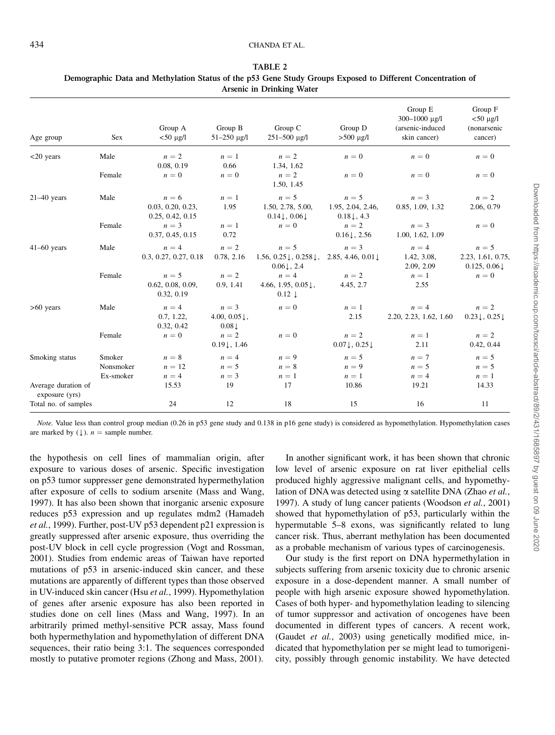| Alseliic iii Driinking water          |                                  |                                                  |                                                       |                                                                       |                                               |                                                              |                                                     |
|---------------------------------------|----------------------------------|--------------------------------------------------|-------------------------------------------------------|-----------------------------------------------------------------------|-----------------------------------------------|--------------------------------------------------------------|-----------------------------------------------------|
| Age group                             | Sex                              | Group A<br>$<$ 50 $\mu$ g/l                      | Group B<br>$51 - 250 \text{ µg/l}$                    | Group C<br>$251 - 500$ $\mu$ g/l                                      | Group D<br>$>500 \mu g/l$                     | Group E<br>300-1000 μg/l<br>(arsenic-induced<br>skin cancer) | Group F<br>$< 50 \mu g/l$<br>(nonarsenic<br>cancer) |
| $<$ 20 years                          | Male                             | $n=2$<br>0.08, 0.19                              | $n=1$<br>0.66                                         | $n=2$<br>1.34, 1.62                                                   | $n=0$                                         | $n=0$                                                        | $n=0$                                               |
|                                       | Female                           | $n=0$                                            | $n=0$                                                 | $n=2$<br>1.50, 1.45                                                   | $n=0$                                         | $n=0$                                                        | $n=0$                                               |
| $21-40$ years                         | Male                             | $n = 6$<br>0.03, 0.20, 0.23,<br>0.25, 0.42, 0.15 | $n=1$<br>1.95                                         | $n=5$<br>1.50, 2.78, 5.00,<br>$0.14\downarrow, 0.06\downarrow$        | $n=5$<br>1.95, 2.04, 2.46,<br>0.181, 4.3      | $n=3$<br>0.85, 1.09, 1.32                                    | $n=2$<br>2.06, 0.79                                 |
|                                       | Female                           | $n=3$<br>0.37, 0.45, 0.15                        | $n=1$<br>0.72                                         | $n=0$                                                                 | $n=2$<br>$0.16\downarrow$ , 2.56              | $n=3$<br>1.00, 1.62, 1.09                                    | $n=0$                                               |
| $41-60$ years                         | Male                             | $n = 4$<br>0.3, 0.27, 0.27, 0.18                 | $n=2$<br>0.78, 2.16                                   | $n=5$<br>1.56, $0.25 \downarrow$ , $0.258 \downarrow$ ,<br>0.061, 2.4 | $n = 3$<br>$2.85, 4.46, 0.01 \downarrow$      | $n = 4$<br>1.42, 3.08,<br>2.09, 2.09                         | $n=5$<br>2.23, 1.61, 0.75,<br>0.125, 0.061          |
|                                       | Female                           | $n=5$<br>0.62, 0.08, 0.09,<br>0.32, 0.19         | $n=2$<br>0.9, 1.41                                    | $n=4$<br>4.66, 1.95, $0.05$ ,<br>$0.12 \downarrow$                    | $n=2$<br>4.45, 2.7                            | $n=1$<br>2.55                                                | $n=0$                                               |
| $>60$ years                           | Male                             | $n = 4$<br>0.7, 1.22,<br>0.32, 0.42              | $n=3$<br>4.00, $0.05\downarrow$ ,<br>$0.08\downarrow$ | $n=0$                                                                 | $n=1$<br>2.15                                 | $n = 4$<br>2.20, 2.23, 1.62, 1.60                            | $n=2$<br>$0.23 \downarrow$ , $0.25 \downarrow$      |
|                                       | Female                           | $n=0$                                            | $n=2$<br>0.191, 1.46                                  | $n=0$                                                                 | $n=2$<br>$0.07\downarrow$ , 0.25 $\downarrow$ | $n=1$<br>2.11                                                | $n=2$<br>0.42, 0.44                                 |
| Smoking status                        | Smoker<br>Nonsmoker<br>Ex-smoker | $n=8$<br>$n = 12$<br>$n=4$                       | $n = 4$<br>$n=5$<br>$n = 3$                           | $n = 9$<br>$n = 8$<br>$n=1$                                           | $n=5$<br>$n = 9$<br>$n=1$                     | $n=7$<br>$n=5$<br>$n = 4$                                    | $n=5$<br>$n=5$<br>$n=1$                             |
| Average duration of<br>exposure (yrs) |                                  | 15.53                                            | 19                                                    | 17                                                                    | 10.86                                         | 19.21                                                        | 14.33                                               |
| Total no. of samples                  |                                  | 24                                               | 12                                                    | 18                                                                    | 15                                            | 16                                                           | 11                                                  |

TABLE 2 Demographic Data and Methylation Status of the p53 Gene Study Groups Exposed to Different Concentration of Arsenic in Drinking Water

Note. Value less than control group median (0.26 in p53 gene study and 0.138 in p16 gene study) is considered as hypomethylation. Hypomethylation cases are marked by ( $\downarrow$ ).  $n =$  sample number.

the hypothesis on cell lines of mammalian origin, after exposure to various doses of arsenic. Specific investigation on p53 tumor suppresser gene demonstrated hypermethylation after exposure of cells to sodium arsenite (Mass and Wang, 1997). It has also been shown that inorganic arsenic exposure reduces p53 expression and up regulates mdm2 (Hamadeh et al., 1999). Further, post-UV p53 dependent p21 expression is greatly suppressed after arsenic exposure, thus overriding the post-UV block in cell cycle progression (Vogt and Rossman, 2001). Studies from endemic areas of Taiwan have reported mutations of p53 in arsenic-induced skin cancer, and these mutations are apparently of different types than those observed in UV-induced skin cancer (Hsu et al., 1999). Hypomethylation of genes after arsenic exposure has also been reported in studies done on cell lines (Mass and Wang, 1997). In an arbitrarily primed methyl-sensitive PCR assay, Mass found both hypermethylation and hypomethylation of different DNA sequences, their ratio being 3:1. The sequences corresponded mostly to putative promoter regions (Zhong and Mass, 2001).

In another significant work, it has been shown that chronic low level of arsenic exposure on rat liver epithelial cells produced highly aggressive malignant cells, and hypomethylation of DNA was detected using  $\alpha$  satellite DNA (Zhao *et al.*, 1997). A study of lung cancer patients (Woodson et al., 2001) showed that hypomethylation of p53, particularly within the hypermutable 5–8 exons, was significantly related to lung cancer risk. Thus, aberrant methylation has been documented as a probable mechanism of various types of carcinogenesis.

Our study is the first report on DNA hypermethylation in subjects suffering from arsenic toxicity due to chronic arsenic exposure in a dose-dependent manner. A small number of people with high arsenic exposure showed hypomethylation. Cases of both hyper- and hypomethylation leading to silencing of tumor suppressor and activation of oncogenes have been documented in different types of cancers. A recent work, (Gaudet et al., 2003) using genetically modified mice, indicated that hypomethylation per se might lead to tumorigenicity, possibly through genomic instability. We have detected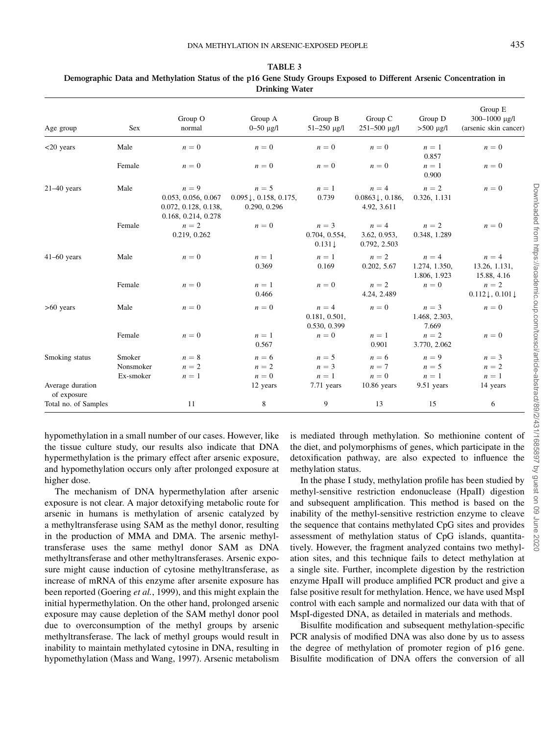| Age group                       | <b>Sex</b>                       | Group O<br>normal                                                             | Group A<br>$0 - 50 \mu g/l$                                | Group B<br>51-250 μg/l                         | Group C<br>$251 - 500$ $\mu$ g/l                       | Group D<br>$>500 \mu g/l$                | Group E<br>300-1000 μg/l<br>(arsenic skin cancer) |
|---------------------------------|----------------------------------|-------------------------------------------------------------------------------|------------------------------------------------------------|------------------------------------------------|--------------------------------------------------------|------------------------------------------|---------------------------------------------------|
| $<$ 20 years                    | Male                             | $n=0$                                                                         | $n=0$                                                      | $n=0$                                          | $n=0$                                                  | $n=1$<br>0.857                           | $n=0$                                             |
|                                 | Female                           | $n=0$                                                                         | $n=0$                                                      | $n=0$                                          | $n=0$                                                  | $n=1$<br>0.900                           | $n=0$                                             |
| $21-40$ years                   | Male                             | $n = 9$<br>0.053, 0.056, 0.067<br>0.072, 0.128, 0.138,<br>0.168, 0.214, 0.278 | $n=5$<br>$0.095\downarrow$ , 0.158, 0.175,<br>0.290, 0.296 | $n=1$<br>0.739                                 | $n = 4$<br>$0.0863 \downarrow$ , 0.186,<br>4.92, 3.611 | $n=2$<br>0.326, 1.131                    | $n=0$                                             |
|                                 | Female                           | $n = 2$<br>0.219, 0.262                                                       | $n=0$                                                      | $n = 3$<br>0.704, 0.554,<br>$0.131 \downarrow$ | $n = 4$<br>3.62, 0.953,<br>0.792, 2.503                | $n=2$<br>0.348, 1.289                    | $n=0$                                             |
| $41-60$ years                   | Male                             | $n=0$                                                                         | $n=1$<br>0.369                                             | $n=1$<br>0.169                                 | $n=2$<br>0.202, 5.67                                   | $n = 4$<br>1.274, 1.350,<br>1.806, 1.923 | $n = 4$<br>13.26, 1.131,<br>15.88, 4.16           |
|                                 | Female                           | $n=0$                                                                         | $n=1$<br>0.466                                             | $n=0$                                          | $n=2$<br>4.24, 2.489                                   | $n=0$                                    | $n=2$<br>$0.112$ , $0.101$                        |
| $>60$ years                     | Male                             | $n=0$                                                                         | $n=0$                                                      | $n = 4$<br>0.181, 0.501,<br>0.530, 0.399       | $n=0$                                                  | $n = 3$<br>1.468, 2.303,<br>7.669        | $n=0$                                             |
|                                 | Female                           | $n=0$                                                                         | $n=1$<br>0.567                                             | $n=0$                                          | $n=1$<br>0.901                                         | $n=2$<br>3.770, 2.062                    | $n=0$                                             |
| Smoking status                  | Smoker<br>Nonsmoker<br>Ex-smoker | $n=8$<br>$n = 2$<br>$n=1$                                                     | $n = 6$<br>$n=2$<br>$n=0$                                  | $n=5$<br>$n=3$<br>$n=1$                        | $n = 6$<br>$n=7$<br>$n=0$                              | $n = 9$<br>$n=5$<br>$n=1$                | $n=3$<br>$n=2$<br>$n=1$                           |
| Average duration<br>of exposure |                                  |                                                                               | 12 years                                                   | 7.71 years                                     | $10.86$ years                                          | 9.51 years                               | 14 years                                          |
| Total no. of Samples            |                                  | 11                                                                            | 8                                                          | 9                                              | 13                                                     | 15                                       | 6                                                 |

TABLE 3 Demographic Data and Methylation Status of the p16 Gene Study Groups Exposed to Different Arsenic Concentration in Drinking Water

hypomethylation in a small number of our cases. However, like the tissue culture study, our results also indicate that DNA hypermethylation is the primary effect after arsenic exposure, and hypomethylation occurs only after prolonged exposure at higher dose.

The mechanism of DNA hypermethylation after arsenic exposure is not clear. A major detoxifying metabolic route for arsenic in humans is methylation of arsenic catalyzed by a methyltransferase using SAM as the methyl donor, resulting in the production of MMA and DMA. The arsenic methyltransferase uses the same methyl donor SAM as DNA methyltransferase and other methyltransferases. Arsenic exposure might cause induction of cytosine methyltransferase, as increase of mRNA of this enzyme after arsenite exposure has been reported (Goering et al., 1999), and this might explain the initial hypermethylation. On the other hand, prolonged arsenic exposure may cause depletion of the SAM methyl donor pool due to overconsumption of the methyl groups by arsenic methyltransferase. The lack of methyl groups would result in inability to maintain methylated cytosine in DNA, resulting in hypomethylation (Mass and Wang, 1997). Arsenic metabolism is mediated through methylation. So methionine content of the diet, and polymorphisms of genes, which participate in the detoxification pathway, are also expected to influence the methylation status.

In the phase I study, methylation profile has been studied by methyl-sensitive restriction endonuclease (HpaII) digestion and subsequent amplification. This method is based on the inability of the methyl-sensitive restriction enzyme to cleave the sequence that contains methylated CpG sites and provides assessment of methylation status of CpG islands, quantitatively. However, the fragment analyzed contains two methylation sites, and this technique fails to detect methylation at a single site. Further, incomplete digestion by the restriction enzyme HpaII will produce amplified PCR product and give a false positive result for methylation. Hence, we have used MspI control with each sample and normalized our data with that of MspI-digested DNA, as detailed in materials and methods.

Bisulfite modification and subsequent methylation-specific PCR analysis of modified DNA was also done by us to assess the degree of methylation of promoter region of p16 gene. Bisulfite modification of DNA offers the conversion of all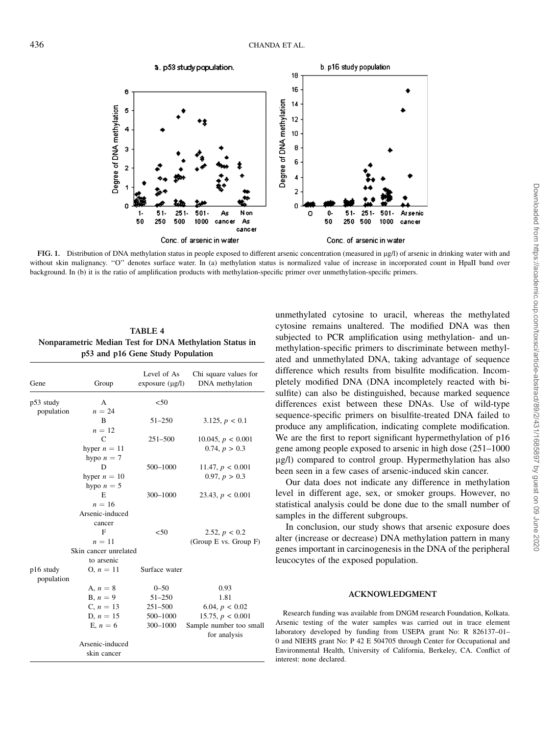

FIG. 1. Distribution of DNA methylation status in people exposed to different arsenic concentration (measured in  $\mu$ g/l) of arsenic in drinking water with and without skin malignancy. "O" denotes surface water. In (a) methylation status is normalized value of increase in incorporated count in HpaII band over background. In (b) it is the ratio of amplification products with methylation-specific primer over unmethylation-specific primers.

| <b>TABLE 4</b>                                          |
|---------------------------------------------------------|
| Nonparametric Median Test for DNA Methylation Status in |
| p53 and p16 Gene Study Population                       |

| Gene       | Group                 | Level of As<br>exposure $(\mu g/l)$ | Chi square values for<br>DNA methylation |
|------------|-----------------------|-------------------------------------|------------------------------------------|
| p53 study  | $\mathsf{A}$          | < 50                                |                                          |
| population | $n = 24$              |                                     |                                          |
|            | B                     | $51 - 250$                          | 3.125, p < 0.1                           |
|            | $n=12$                |                                     |                                          |
|            | C                     | $251 - 500$                         | 10.045, $p < 0.001$                      |
|            | hyper $n = 11$        |                                     | 0.74, $p > 0.3$                          |
|            | hypo $n = 7$          |                                     |                                          |
|            | D                     | 500-1000                            | 11.47, $p < 0.001$                       |
|            | hyper $n = 10$        |                                     | 0.97, p > 0.3                            |
|            | hypo $n = 5$          |                                     |                                          |
|            | E                     | 300-1000                            | 23.43, $p < 0.001$                       |
|            | $n = 16$              |                                     |                                          |
|            | Arsenic-induced       |                                     |                                          |
|            | cancer                |                                     |                                          |
|            | F                     | < 50                                | 2.52, $p < 0.2$                          |
|            | $n=11$                |                                     | (Group E vs. Group F)                    |
|            | Skin cancer unrelated |                                     |                                          |
|            | to arsenic            |                                     |                                          |
| p16 study  | $0, n = 11$           | Surface water                       |                                          |
| population |                       |                                     |                                          |
|            | A, $n=8$              | $0 - 50$                            | 0.93                                     |
|            | B, $n=9$              | $51 - 250$                          | 1.81                                     |
|            | C, $n = 13$           | $251 - 500$                         | 6.04, $p < 0.02$                         |
|            | D, $n = 15$           | 500-1000                            | 15.75, $p < 0.001$                       |
|            | E, $n = 6$            | 300-1000                            | Sample number too small<br>for analysis  |
|            | Arsenic-induced       |                                     |                                          |
|            | skin cancer           |                                     |                                          |

unmethylated cytosine to uracil, whereas the methylated cytosine remains unaltered. The modified DNA was then subjected to PCR amplification using methylation- and unmethylation-specific primers to discriminate between methylated and unmethylated DNA, taking advantage of sequence difference which results from bisulfite modification. Incompletely modified DNA (DNA incompletely reacted with bisulfite) can also be distinguished, because marked sequence differences exist between these DNAs. Use of wild-type sequence-specific primers on bisulfite-treated DNA failed to produce any amplification, indicating complete modification. We are the first to report significant hypermethylation of p16 gene among people exposed to arsenic in high dose (251–1000 lg/l) compared to control group. Hypermethylation has also been seen in a few cases of arsenic-induced skin cancer.

Our data does not indicate any difference in methylation level in different age, sex, or smoker groups. However, no statistical analysis could be done due to the small number of samples in the different subgroups.

In conclusion, our study shows that arsenic exposure does alter (increase or decrease) DNA methylation pattern in many genes important in carcinogenesis in the DNA of the peripheral leucocytes of the exposed population.

### ACKNOWLEDGMENT

Research funding was available from DNGM research Foundation, Kolkata. Arsenic testing of the water samples was carried out in trace element laboratory developed by funding from USEPA grant No: R 826137–01– 0 and NIEHS grant No: P 42 E 504705 through Center for Occupational and Environmental Health, University of California, Berkeley, CA. Conflict of interest: none declared.